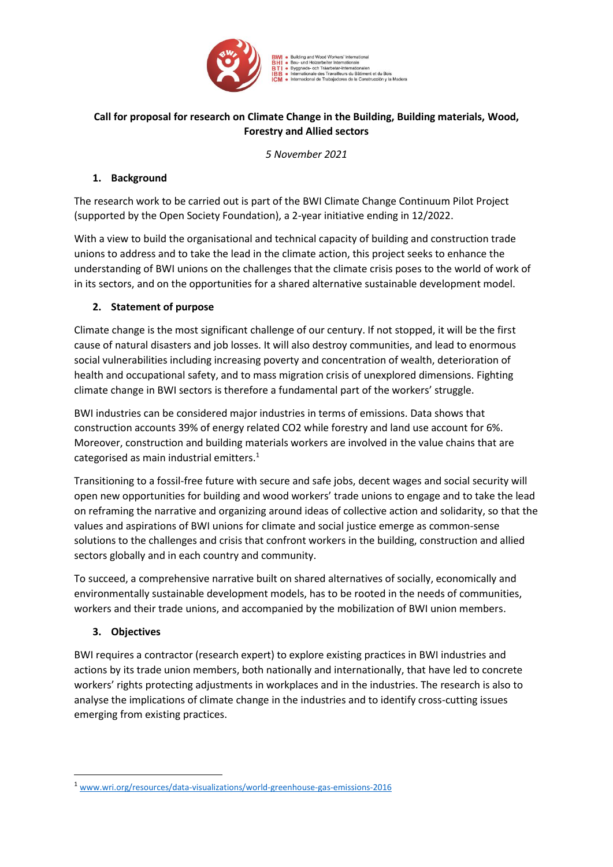

ads- och Träarbetar-Internationaler ationale des Travailleurs du Bâtiment et du Bois Trabajadores de la Construcción y la Madera

# **Call for proposal for research on Climate Change in the Building, Building materials, Wood, Forestry and Allied sectors**

*5 November 2021*

## **1. Background**

The research work to be carried out is part of the BWI Climate Change Continuum Pilot Project (supported by the Open Society Foundation), a 2-year initiative ending in 12/2022.

With a view to build the organisational and technical capacity of building and construction trade unions to address and to take the lead in the climate action, this project seeks to enhance the understanding of BWI unions on the challenges that the climate crisis poses to the world of work of in its sectors, and on the opportunities for a shared alternative sustainable development model.

## **2. Statement of purpose**

Climate change is the most significant challenge of our century. If not stopped, it will be the first cause of natural disasters and job losses. It will also destroy communities, and lead to enormous social vulnerabilities including increasing poverty and concentration of wealth, deterioration of health and occupational safety, and to mass migration crisis of unexplored dimensions. Fighting climate change in BWI sectors is therefore a fundamental part of the workers' struggle.

BWI industries can be considered major industries in terms of emissions. Data shows that construction accounts 39% of energy related CO2 while forestry and land use account for 6%. Moreover, construction and building materials workers are involved in the value chains that are categorised as main industrial emitters.<sup>1</sup>

Transitioning to a fossil-free future with secure and safe jobs, decent wages and social security will open new opportunities for building and wood workers' trade unions to engage and to take the lead on reframing the narrative and organizing around ideas of collective action and solidarity, so that the values and aspirations of BWI unions for climate and social justice emerge as common-sense solutions to the challenges and crisis that confront workers in the building, construction and allied sectors globally and in each country and community.

To succeed, a comprehensive narrative built on shared alternatives of socially, economically and environmentally sustainable development models, has to be rooted in the needs of communities, workers and their trade unions, and accompanied by the mobilization of BWI union members.

# **3. Objectives**

BWI requires a contractor (research expert) to explore existing practices in BWI industries and actions by its trade union members, both nationally and internationally, that have led to concrete workers' rights protecting adjustments in workplaces and in the industries. The research is also to analyse the implications of climate change in the industries and to identify cross-cutting issues emerging from existing practices.

<sup>1</sup> [www.wri.org/resources/data-visualizations/world-greenhouse-gas-emissions-2016](https://www.wri.org/resources/data-visualizations/world-greenhouse-gas-emissions-2016)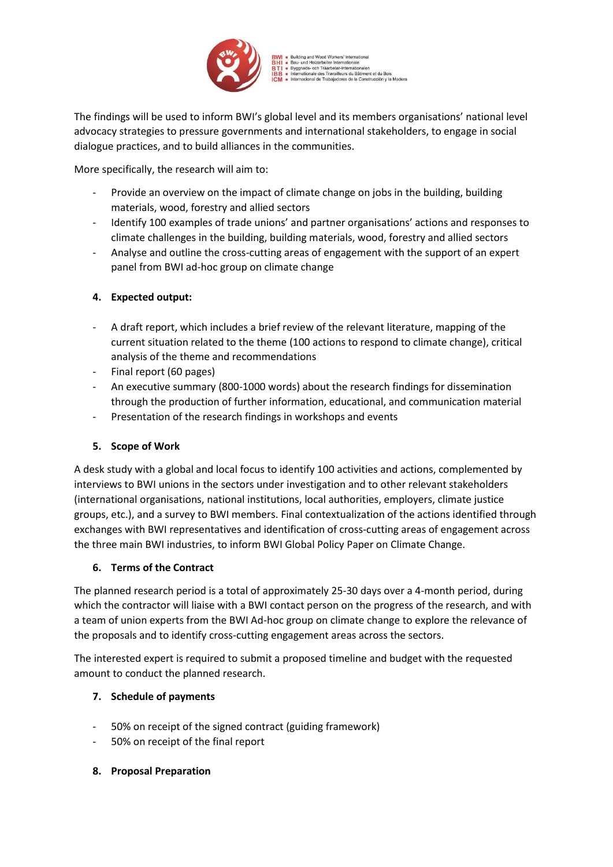

iads- och Träarbetar-Internationalen<br>ationale des Travailleurs du Bâtiment et du Bois

The findings will be used to inform BWI's global level and its members organisations' national level advocacy strategies to pressure governments and international stakeholders, to engage in social dialogue practices, and to build alliances in the communities.

More specifically, the research will aim to:

- Provide an overview on the impact of climate change on jobs in the building, building materials, wood, forestry and allied sectors
- Identify 100 examples of trade unions' and partner organisations' actions and responses to climate challenges in the building, building materials, wood, forestry and allied sectors
- Analyse and outline the cross-cutting areas of engagement with the support of an expert panel from BWI ad-hoc group on climate change

## **4. Expected output:**

- A draft report, which includes a brief review of the relevant literature, mapping of the current situation related to the theme (100 actions to respond to climate change), critical analysis of the theme and recommendations
- Final report (60 pages)
- An executive summary (800-1000 words) about the research findings for dissemination through the production of further information, educational, and communication material
- Presentation of the research findings in workshops and events

# **5. Scope of Work**

A desk study with a global and local focus to identify 100 activities and actions, complemented by interviews to BWI unions in the sectors under investigation and to other relevant stakeholders (international organisations, national institutions, local authorities, employers, climate justice groups, etc.), and a survey to BWI members. Final contextualization of the actions identified through exchanges with BWI representatives and identification of cross-cutting areas of engagement across the three main BWI industries, to inform BWI Global Policy Paper on Climate Change.

#### **6. Terms of the Contract**

The planned research period is a total of approximately 25-30 days over a 4-month period, during which the contractor will liaise with a BWI contact person on the progress of the research, and with a team of union experts from the BWI Ad-hoc group on climate change to explore the relevance of the proposals and to identify cross-cutting engagement areas across the sectors.

The interested expert is required to submit a proposed timeline and budget with the requested amount to conduct the planned research.

# **7. Schedule of payments**

- 50% on receipt of the signed contract (guiding framework)
- 50% on receipt of the final report
- **8. Proposal Preparation**